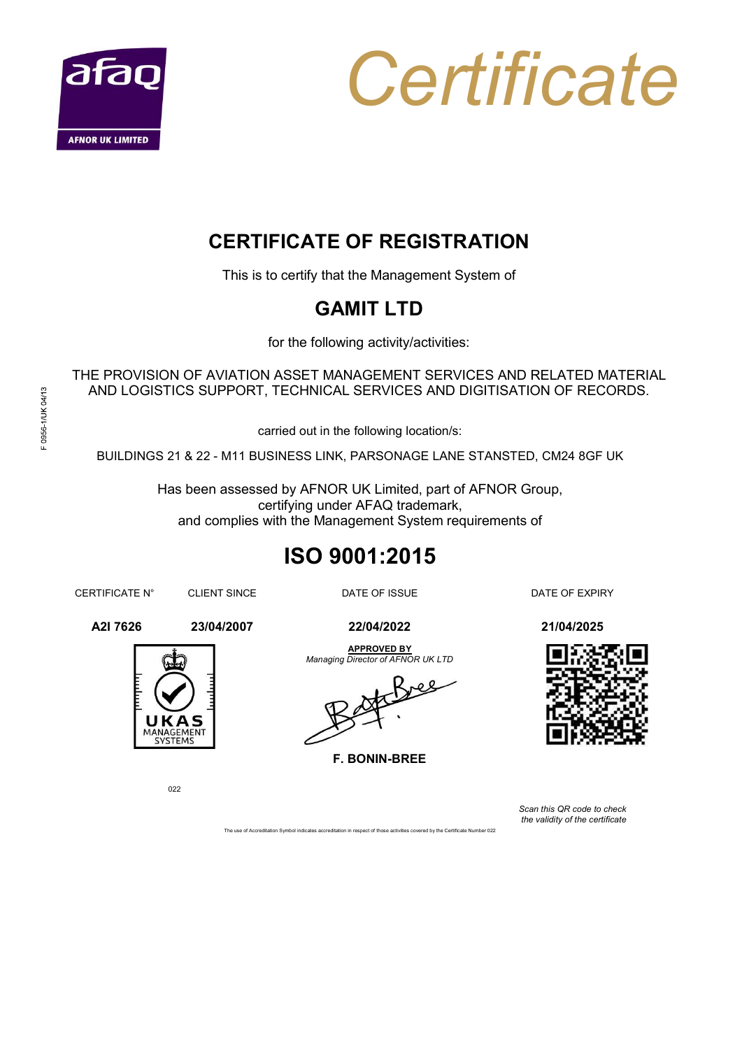



## CERTIFICATE OF REGISTRATION

This is to certify that the Management System of

## GAMIT LTD

for the following activity/activities:

THE PROVISION OF AVIATION ASSET MANAGEMENT SERVICES AND RELATED MATERIAL AND LOGISTICS SUPPORT, TECHNICAL SERVICES AND DIGITISATION OF RECORDS.

carried out in the following location/s:

**CERTIFICATE OF REGISTRATION**<br>
This is to certify that the Management System of<br> **GAMIT LTD**<br>
for the following activity/activities:<br>
PROVISION OF AVIATION ASSET MANAGEMENT SERVICES AND RELATED MATERIAL<br>
ND LOGISTICS SUPPO Has been assessed by AFNOR UK Limited, part of AFNOR Group, certifying under AFAQ trademark, and complies with the Management System requirements of This is to certify that the Management System of<br>
GAMIT LTD<br>
for the following activity/activities:<br>
THE PROVISION OF AVIATION ASSET MANAGEMENT SERVICES AND RELATED MATERIAL<br>
AND LOGISTICS SUPPORT, TECHNICAL SERVICES AND D **GAMIT LTD**<br>
for the following activity/activities:<br>
AND LOGISTICS SUPPORT, TECHNICAL SERVICES AND RELATED MATERIAL<br>
AND LOGISTICS SUPPORT, TECHNICAL SERVICES AND DIGITISATION OF RECORDS.<br>
carried out in the following loca

# ISO 9001:2015

F. BONIN-BREE



Scan this QR code to check the validity of the certificate

APPROVED BY



022

The use of Accreditation Symbol indicates accreditation in respect of those activities covered by the Certificate Number 022